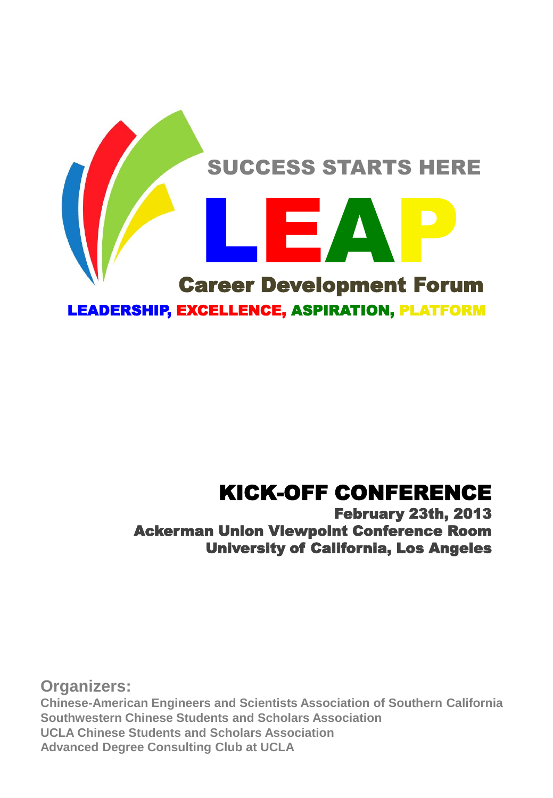

## KICK-OFF CONFERENCE

#### February 23th, 2013 Ackerman Union Viewpoint Conference Room University of California, Los Angeles

**Organizers: Chinese-American Engineers and Scientists Association of Southern California Southwestern Chinese Students and Scholars Association UCLA Chinese Students and Scholars Association Advanced Degree Consulting Club at UCLA**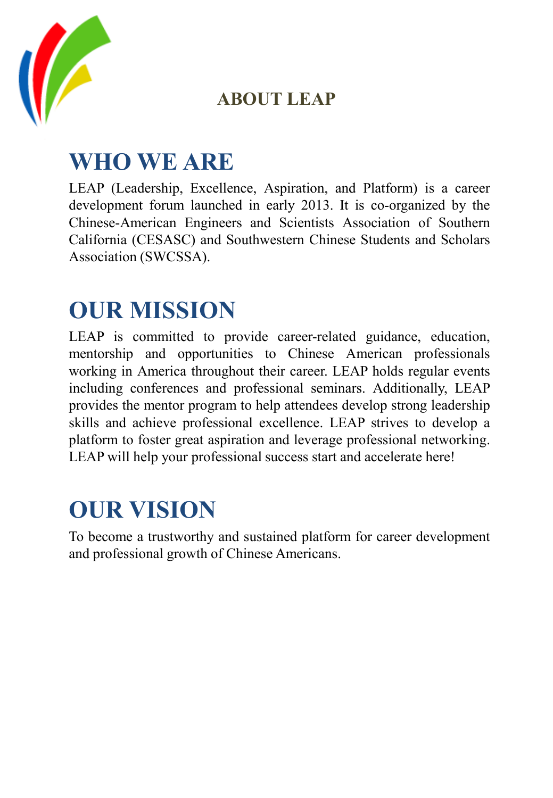

## **ABOUT LEAP**

# **WHO WE ARE**

LEAP (Leadership, Excellence, Aspiration, and Platform) is a career development forum launched in early 2013. It is co-organized by the Chinese-American Engineers and Scientists Association of Southern California (CESASC) and Southwestern Chinese Students and Scholars Association (SWCSSA).

# **OUR MISSION**

LEAP is committed to provide career-related guidance, education, mentorship and opportunities to Chinese American professionals working in America throughout their career. LEAP holds regular events including conferences and professional seminars. Additionally, LEAP provides the mentor program to help attendees develop strong leadership skills and achieve professional excellence. LEAP strives to develop a platform to foster great aspiration and leverage professional networking. LEAP will help your professional success start and accelerate here!

# **OUR VISION**

To become a trustworthy and sustained platform for career development and professional growth of Chinese Americans.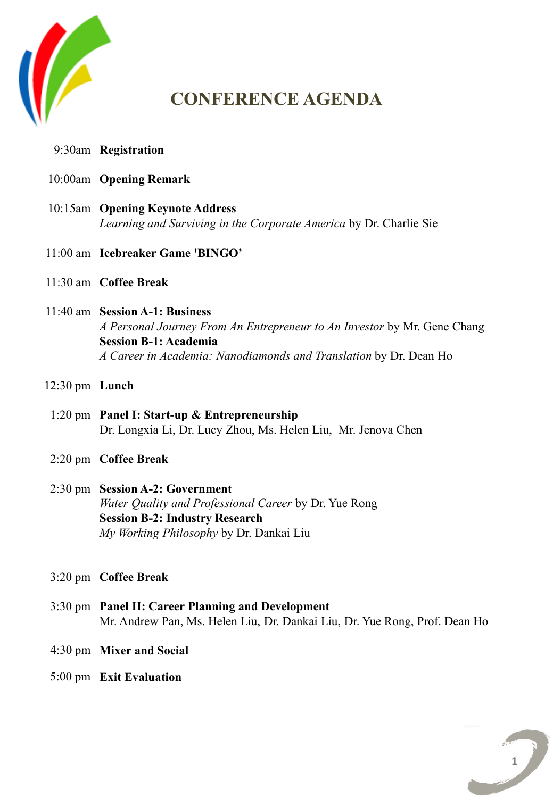

## **CONFERENCE AGENDA**

- **Registration** 9:30am
- **Opening Remark** 10:00am
- **Opening Keynote Address** 10:15am *Learning and Surviving in the Corporate America* by Dr. Charlie Sie
- **Icebreaker Game 'BINGO'** 11:00 am
- **Coffee Break** 11:30 am
- **Session A-1: Business**  11:40 am *A Personal Journey From An Entrepreneur to An Investor* by Mr. Gene Chang **Session B-1: Academia** *A Career in Academia: Nanodiamonds and Translation* by Dr. Dean Ho
- **Lunch** 12:30 pm
- 1:20 pm Panel I: Start-up & Entrepreneurship Dr. Longxia Li, Dr. Lucy Zhou, Ms. Helen Liu, Mr. Jenova Chen
- **Coffee Break** 2:20 pm
- 2:30 pm **Session A-2: Government** *Water Quality and Professional Career* by Dr. Yue Rong **Session B-2: Industry Research** *My Working Philosophy* by Dr. Dankai Liu

#### **Coffee Break** 3:20 pm

- **Panel II: Career Planning and Development**  3:30 pm Mr. Andrew Pan, Ms. Helen Liu, Dr. Dankai Liu, Dr. Yue Rong, Prof. Dean Ho
	- **Mixer and Social** 4:30 pm
- **Exit Evaluation** 5:00 pm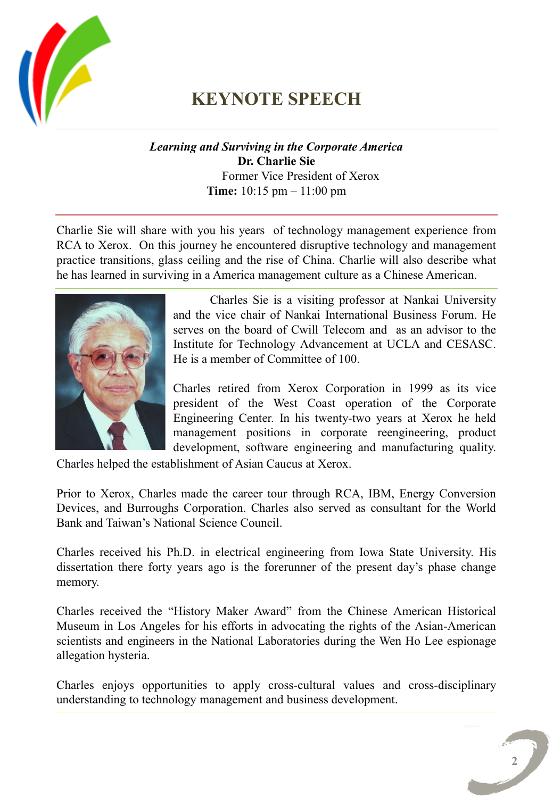

## **KEYNOTE SPEECH**

#### *Learning and Surviving in the Corporate America* **Dr. Charlie Sie** Former Vice President of Xerox **Time:** 10:15 pm – 11:00 pm

Charlie Sie will share with you his years of technology management experience from RCA to Xerox. On this journey he encountered disruptive technology and management practice transitions, glass ceiling and the rise of China. Charlie will also describe what he has learned in surviving in a America management culture as a Chinese American.



Charles Sie is a visiting professor at Nankai University and the vice chair of Nankai International Business Forum. He serves on the board of Cwill Telecom and as an advisor to the Institute for Technology Advancement at UCLA and CESASC. He is a member of Committee of 100.

Charles retired from Xerox Corporation in 1999 as its vice president of the West Coast operation of the Corporate Engineering Center. In his twenty-two years at Xerox he held management positions in corporate reengineering, product development, software engineering and manufacturing quality.

Charles helped the establishment of Asian Caucus at Xerox.

Prior to Xerox, Charles made the career tour through RCA, IBM, Energy Conversion Devices, and Burroughs Corporation. Charles also served as consultant for the World Bank and Taiwan's National Science Council.

Charles received his Ph.D. in electrical engineering from Iowa State University. His dissertation there forty years ago is the forerunner of the present day's phase change memory.

Charles received the "History Maker Award" from the Chinese American Historical Museum in Los Angeles for his efforts in advocating the rights of the Asian-American scientists and engineers in the National Laboratories during the Wen Ho Lee espionage allegation hysteria.

Charles enjoys opportunities to apply cross-cultural values and cross-disciplinary understanding to technology management and business development.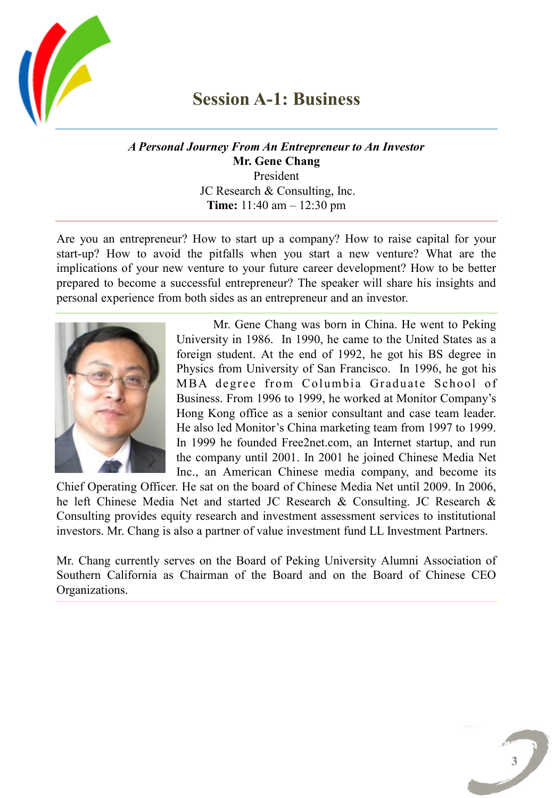

#### **Session A-1: Business**

*A Personal Journey From An Entrepreneur to An Investor* **Mr. Gene Chang** President JC Research & Consulting, Inc. **Time:** 11:40 am – 12:30 pm

Are you an entrepreneur? How to start up a company? How to raise capital for your start-up? How to avoid the pitfalls when you start a new venture? What are the implications of your new venture to your future career development? How to be better prepared to become a successful entrepreneur? The speaker will share his insights and personal experience from both sides as an entrepreneur and an investor.



Mr. Gene Chang was born in China. He went to Peking University in 1986. In 1990, he came to the United States as a foreign student. At the end of 1992, he got his BS degree in Physics from University of San Francisco. In 1996, he got his MBA degree from Columbia Graduate School of Business. From 1996 to 1999, he worked at Monitor Company's Hong Kong office as a senior consultant and case team leader. He also led Monitor's China marketing team from 1997 to 1999. In 1999 he founded Free2net.com, an Internet startup, and run the company until 2001. In 2001 he joined Chinese Media Net Inc., an American Chinese media company, and become its

Chief Operating Officer. He sat on the board of Chinese Media Net until 2009. In 2006, he left Chinese Media Net and started JC Research & Consulting. JC Research & Consulting provides equity research and investment assessment services to institutional investors. Mr. Chang is also a partner of value investment fund LL Investment Partners.

Mr. Chang currently serves on the Board of Peking University Alumni Association of Southern California as Chairman of the Board and on the Board of Chinese CEO Organizations.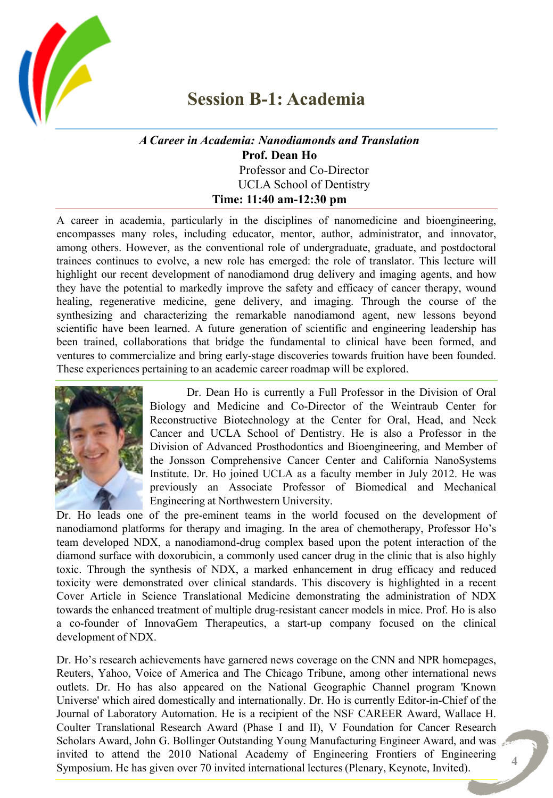

#### **Session B-1: Academia**

#### *A Career in Academia: Nanodiamonds and Translation* **Prof. Dean Ho** Professor and Co-Director UCLA School of Dentistry **Time: 11:40 am-12:30 pm**

A career in academia, particularly in the disciplines of nanomedicine and bioengineering, encompasses many roles, including educator, mentor, author, administrator, and innovator, among others. However, as the conventional role of undergraduate, graduate, and postdoctoral trainees continues to evolve, a new role has emerged: the role of translator. This lecture will highlight our recent development of nanodiamond drug delivery and imaging agents, and how they have the potential to markedly improve the safety and efficacy of cancer therapy, wound healing, regenerative medicine, gene delivery, and imaging. Through the course of the synthesizing and characterizing the remarkable nanodiamond agent, new lessons beyond scientific have been learned. A future generation of scientific and engineering leadership has been trained, collaborations that bridge the fundamental to clinical have been formed, and ventures to commercialize and bring early-stage discoveries towards fruition have been founded. These experiences pertaining to an academic career roadmap will be explored.



Dr. Dean Ho is currently a Full Professor in the Division of Oral Biology and Medicine and Co-Director of the Weintraub Center for Reconstructive Biotechnology at the Center for Oral, Head, and Neck Cancer and UCLA School of Dentistry. He is also a Professor in the Division of Advanced Prosthodontics and Bioengineering, and Member of the Jonsson Comprehensive Cancer Center and California NanoSystems Institute. Dr. Ho joined UCLA as a faculty member in July 2012. He was previously an Associate Professor of Biomedical and Mechanical Engineering at Northwestern University.

Dr. Ho leads one of the pre-eminent teams in the world focused on the development of nanodiamond platforms for therapy and imaging. In the area of chemotherapy, Professor Ho's team developed NDX, a nanodiamond-drug complex based upon the potent interaction of the diamond surface with doxorubicin, a commonly used cancer drug in the clinic that is also highly toxic. Through the synthesis of NDX, a marked enhancement in drug efficacy and reduced toxicity were demonstrated over clinical standards. This discovery is highlighted in a recent Cover Article in Science Translational Medicine demonstrating the administration of NDX towards the enhanced treatment of multiple drug-resistant cancer models in mice. Prof. Ho is also a co-founder of InnovaGem Therapeutics, a start-up company focused on the clinical development of NDX.

Dr. Ho's research achievements have garnered news coverage on the CNN and NPR homepages, Reuters, Yahoo, Voice of America and The Chicago Tribune, among other international news outlets. Dr. Ho has also appeared on the National Geographic Channel program 'Known Universe' which aired domestically and internationally. Dr. Ho is currently Editor-in-Chief of the Journal of Laboratory Automation. He is a recipient of the NSF CAREER Award, Wallace H. Coulter Translational Research Award (Phase I and II), V Foundation for Cancer Research Scholars Award, John G. Bollinger Outstanding Young Manufacturing Engineer Award, and was invited to attend the 2010 National Academy of Engineering Frontiers of Engineering Symposium. He has given over 70 invited international lectures (Plenary, Keynote, Invited).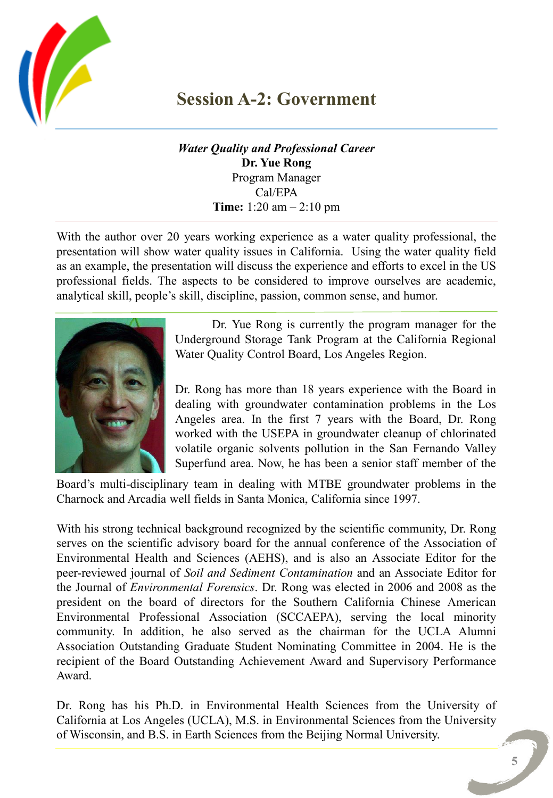

### **Session A-2: Government**

*Water Quality and Professional Career* **Dr. Yue Rong** Program Manager Cal/EPA **Time:** 1:20 am – 2:10 pm

With the author over 20 years working experience as a water quality professional, the presentation will show water quality issues in California. Using the water quality field as an example, the presentation will discuss the experience and efforts to excel in the US professional fields. The aspects to be considered to improve ourselves are academic, analytical skill, people's skill, discipline, passion, common sense, and humor.



Dr. Yue Rong is currently the program manager for the Underground Storage Tank Program at the California Regional Water Quality Control Board, Los Angeles Region.

Dr. Rong has more than 18 years experience with the Board in dealing with groundwater contamination problems in the Los Angeles area. In the first 7 years with the Board, Dr. Rong worked with the USEPA in groundwater cleanup of chlorinated volatile organic solvents pollution in the San Fernando Valley Superfund area. Now, he has been a senior staff member of the

Board's multi-disciplinary team in dealing with MTBE groundwater problems in the Charnock and Arcadia well fields in Santa Monica, California since 1997.

With his strong technical background recognized by the scientific community, Dr. Rong serves on the scientific advisory board for the annual conference of the Association of Environmental Health and Sciences (AEHS), and is also an Associate Editor for the peer-reviewed journal of *Soil and Sediment Contamination* and an Associate Editor for the Journal of *Environmental Forensics*. Dr. Rong was elected in 2006 and 2008 as the president on the board of directors for the Southern California Chinese American Environmental Professional Association (SCCAEPA), serving the local minority community. In addition, he also served as the chairman for the UCLA Alumni Association Outstanding Graduate Student Nominating Committee in 2004. He is the recipient of the Board Outstanding Achievement Award and Supervisory Performance Award.

Dr. Rong has his Ph.D. in Environmental Health Sciences from the University of California at Los Angeles (UCLA), M.S. in Environmental Sciences from the University of Wisconsin, and B.S. in Earth Sciences from the Beijing Normal University.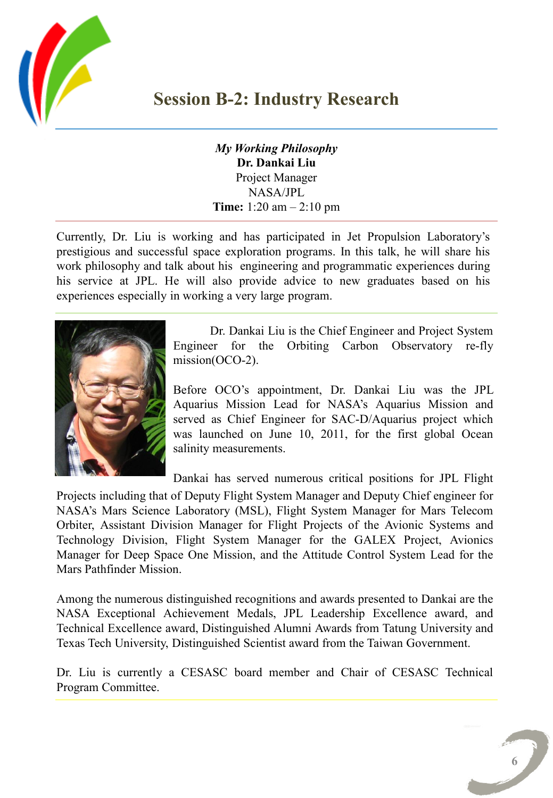

#### **Session B-2: Industry Research**

*My Working Philosophy* **Dr. Dankai Liu** Project Manager NASA/JPL **Time:** 1:20 am – 2:10 pm

Currently, Dr. Liu is working and has participated in Jet Propulsion Laboratory's prestigious and successful space exploration programs. In this talk, he will share his work philosophy and talk about his engineering and programmatic experiences during his service at JPL. He will also provide advice to new graduates based on his experiences especially in working a very large program.



Dr. Dankai Liu is the Chief Engineer and Project System Engineer for the Orbiting Carbon Observatory re-fly mission(OCO-2).

Before OCO's appointment, Dr. Dankai Liu was the JPL Aquarius Mission Lead for NASA's Aquarius Mission and served as Chief Engineer for SAC-D/Aquarius project which was launched on June 10, 2011, for the first global Ocean salinity measurements.

Dankai has served numerous critical positions for JPL Flight

Projects including that of Deputy Flight System Manager and Deputy Chief engineer for NASA's Mars Science Laboratory (MSL), Flight System Manager for Mars Telecom Orbiter, Assistant Division Manager for Flight Projects of the Avionic Systems and Technology Division, Flight System Manager for the GALEX Project, Avionics Manager for Deep Space One Mission, and the Attitude Control System Lead for the Mars Pathfinder Mission.

Among the numerous distinguished recognitions and awards presented to Dankai are the NASA Exceptional Achievement Medals, JPL Leadership Excellence award, and Technical Excellence award, Distinguished Alumni Awards from Tatung University and Texas Tech University, Distinguished Scientist award from the Taiwan Government.

Dr. Liu is currently a CESASC board member and Chair of CESASC Technical Program Committee.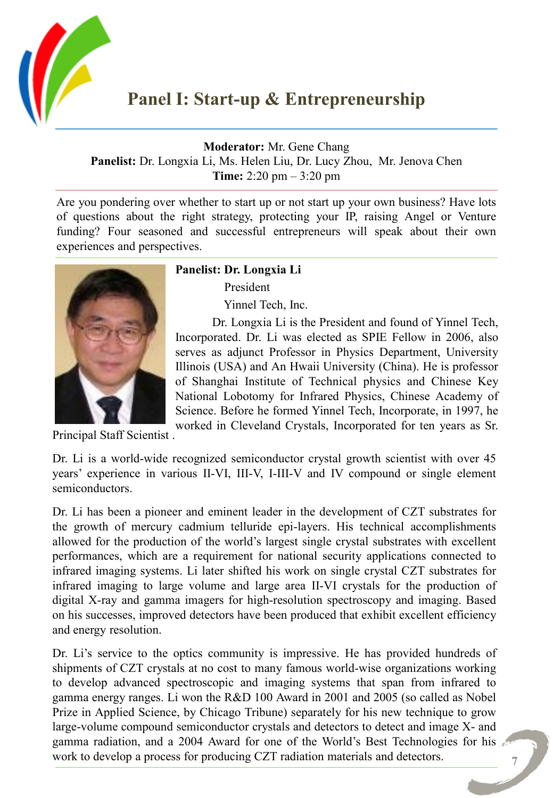

**Moderator:** Mr. Gene Chang

**Panelist:** Dr. Longxia Li, Ms. Helen Liu, Dr. Lucy Zhou, Mr. Jenova Chen **Time:** 2:20 pm – 3:20 pm

Are you pondering over whether to start up or not start up your own business? Have lots of questions about the right strategy, protecting your IP, raising Angel or Venture funding? Four seasoned and successful entrepreneurs will speak about their own experiences and perspectives.



**Panelist: Dr. Longxia Li**

President

Yinnel Tech, Inc.

Dr. Longxia Li is the President and found of Yinnel Tech, Incorporated. Dr. Li was elected as SPIE Fellow in 2006, also serves as adjunct Professor in Physics Department, University Illinois (USA) and An Hwaii University (China). He is professor of Shanghai Institute of Technical physics and Chinese Key National Lobotomy for Infrared Physics, Chinese Academy of Science. Before he formed Yinnel Tech, Incorporate, in 1997, he worked in Cleveland Crystals, Incorporated for ten years as Sr.

Principal Staff Scientist .

Dr. Li is a world-wide recognized semiconductor crystal growth scientist with over 45 years' experience in various II-VI, III-V, I-III-V and IV compound or single element semiconductors.

Dr. Li has been a pioneer and eminent leader in the development of CZT substrates for the growth of mercury cadmium telluride epi-layers. His technical accomplishments allowed for the production of the world's largest single crystal substrates with excellent performances, which are a requirement for national security applications connected to infrared imaging systems. Li later shifted his work on single crystal CZT substrates for infrared imaging to large volume and large area II-VI crystals for the production of digital X-ray and gamma imagers for high-resolution spectroscopy and imaging. Based on his successes, improved detectors have been produced that exhibit excellent efficiency and energy resolution.

Dr. Li's service to the optics community is impressive. He has provided hundreds of shipments of CZT crystals at no cost to many famous world-wise organizations working to develop advanced spectroscopic and imaging systems that span from infrared to gamma energy ranges. Li won the R&D 100 Award in 2001 and 2005 (so called as Nobel Prize in Applied Science, by Chicago Tribune) separately for his new technique to grow large-volume compound semiconductor crystals and detectors to detect and image X- and gamma radiation, and a 2004 Award for one of the World's Best Technologies for his work to develop a process for producing CZT radiation materials and detectors.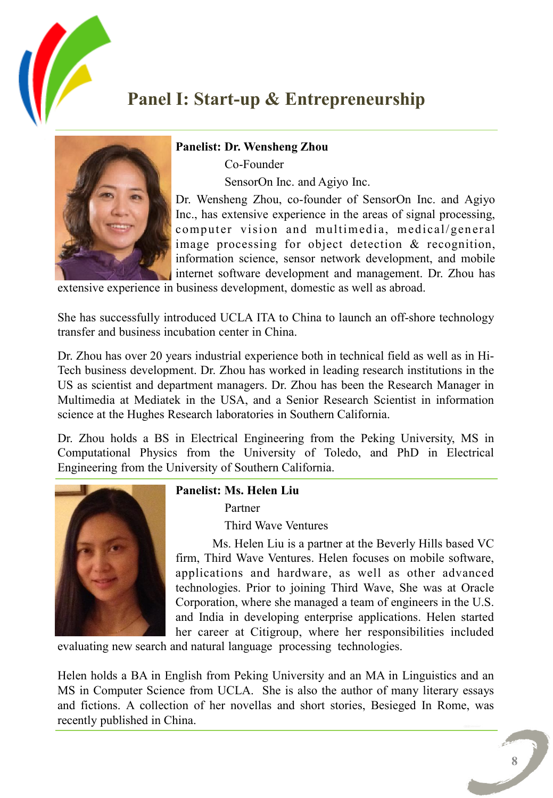

## **Panel I: Start-up & Entrepreneurship**



**Panelist: Dr. Wensheng Zhou**

Co-Founder

SensorOn Inc. and Agiyo Inc.

Dr. Wensheng Zhou, co-founder of SensorOn Inc. and Agiyo Inc., has extensive experience in the areas of signal processing, computer vision and multimedia, medical/general image processing for object detection & recognition, information science, sensor network development, and mobile internet software development and management. Dr. Zhou has

extensive experience in business development, domestic as well as abroad.

She has successfully introduced UCLA ITA to China to launch an off-shore technology transfer and business incubation center in China.

Dr. Zhou has over 20 years industrial experience both in technical field as well as in Hi-Tech business development. Dr. Zhou has worked in leading research institutions in the US as scientist and department managers. Dr. Zhou has been the Research Manager in Multimedia at Mediatek in the USA, and a Senior Research Scientist in information science at the Hughes Research laboratories in Southern California.

Dr. Zhou holds a BS in Electrical Engineering from the Peking University, MS in Computational Physics from the University of Toledo, and PhD in Electrical Engineering from the University of Southern California.



#### **Panelist: Ms. Helen Liu**

Partner

Third Wave Ventures

Ms. Helen Liu is a partner at the Beverly Hills based VC firm, Third Wave Ventures. Helen focuses on mobile software, applications and hardware, as well as other advanced technologies. Prior to joining Third Wave, She was at Oracle Corporation, where she managed a team of engineers in the U.S. and India in developing enterprise applications. Helen started her career at Citigroup, where her responsibilities included

evaluating new search and natural language processing technologies.

Helen holds a BA in English from Peking University and an MA in Linguistics and an MS in Computer Science from UCLA. She is also the author of many literary essays and fictions. A collection of her novellas and short stories, Besieged In Rome, was recently published in China.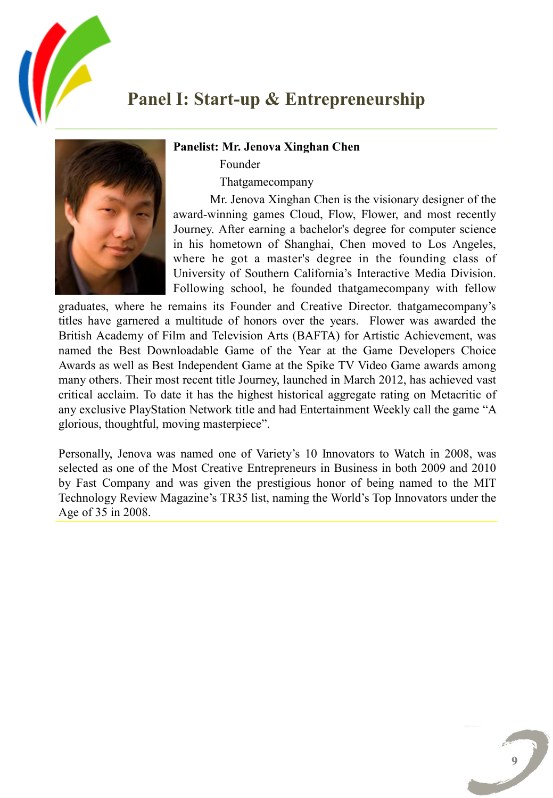

### **Panel I: Start-up & Entrepreneurship**

#### **Panelist: Mr. Jenova Xinghan Chen**

Founder

Thatgamecompany

Mr. Jenova Xinghan Chen is the visionary designer of the award-winning games Cloud, Flow, Flower, and most recently Journey. After earning a bachelor's degree for computer science in his hometown of Shanghai, Chen moved to Los Angeles, where he got a master's degree in the founding class of University of Southern California's Interactive Media Division. Following school, he founded thatgamecompany with fellow

graduates, where he remains its Founder and Creative Director. thatgamecompany's titles have garnered a multitude of honors over the years. Flower was awarded the British Academy of Film and Television Arts (BAFTA) for Artistic Achievement, was named the Best Downloadable Game of the Year at the Game Developers Choice Awards as well as Best Independent Game at the Spike TV Video Game awards among many others. Their most recent title Journey, launched in March 2012, has achieved vast critical acclaim. To date it has the highest historical aggregate rating on Metacritic of any exclusive PlayStation Network title and had Entertainment Weekly call the game "A glorious, thoughtful, moving masterpiece".

Personally, Jenova was named one of Variety's 10 Innovators to Watch in 2008, was selected as one of the Most Creative Entrepreneurs in Business in both 2009 and 2010 by Fast Company and was given the prestigious honor of being named to the MIT Technology Review Magazine's TR35 list, naming the World's Top Innovators under the Age of 35 in 2008.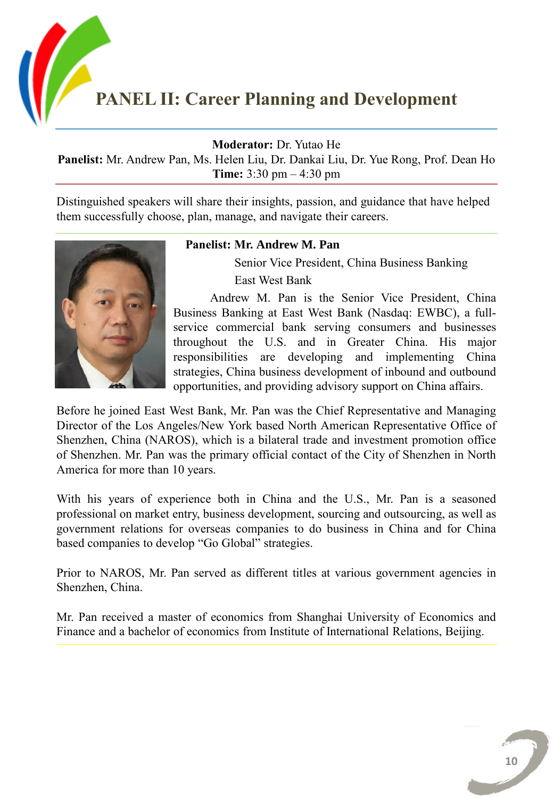

**Moderator:** Dr. Yutao He

**Panelist:** Mr. Andrew Pan, Ms. Helen Liu, Dr. Dankai Liu, Dr. Yue Rong, Prof. Dean Ho **Time:** 3:30 pm – 4:30 pm

Distinguished speakers will share their insights, passion, and guidance that have helped them successfully choose, plan, manage, and navigate their careers.



#### **Panelist: Mr. Andrew M. Pan**

 Senior Vice President, China Business Banking East West Bank

Andrew M. Pan is the Senior Vice President, China Business Banking at East West Bank (Nasdaq: EWBC), a fullservice commercial bank serving consumers and businesses throughout the U.S. and in Greater China. His major responsibilities are developing and implementing China strategies, China business development of inbound and outbound opportunities, and providing advisory support on China affairs.

Before he joined East West Bank, Mr. Pan was the Chief Representative and Managing Director of the Los Angeles/New York based North American Representative Office of Shenzhen, China (NAROS), which is a bilateral trade and investment promotion office of Shenzhen. Mr. Pan was the primary official contact of the City of Shenzhen in North America for more than 10 years.

With his years of experience both in China and the U.S., Mr. Pan is a seasoned professional on market entry, business development, sourcing and outsourcing, as well as government relations for overseas companies to do business in China and for China based companies to develop "Go Global" strategies.

Prior to NAROS, Mr. Pan served as different titles at various government agencies in Shenzhen, China.

Mr. Pan received a master of economics from Shanghai University of Economics and Finance and a bachelor of economics from Institute of International Relations, Beijing.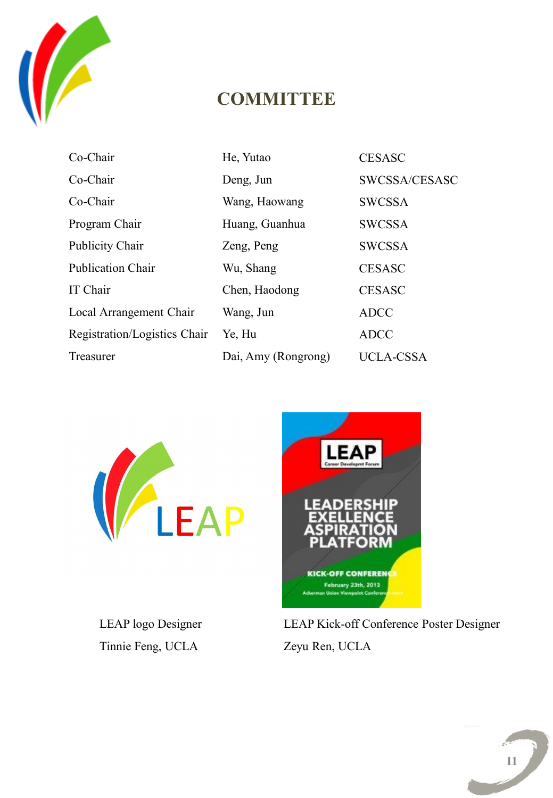

## **COMMITTEE**

| Co-Chair                     | He, Yutao           | <b>CESASC</b>    |
|------------------------------|---------------------|------------------|
| Co-Chair                     | Deng, Jun           | SWCSSA/CESASC    |
| Co-Chair                     | Wang, Haowang       | <b>SWCSSA</b>    |
| Program Chair                | Huang, Guanhua      | <b>SWCSSA</b>    |
| <b>Publicity Chair</b>       | Zeng, Peng          | <b>SWCSSA</b>    |
| <b>Publication Chair</b>     | Wu, Shang           | <b>CESASC</b>    |
| IT Chair                     | Chen, Haodong       | <b>CESASC</b>    |
| Local Arrangement Chair      | Wang, Jun           | <b>ADCC</b>      |
| Registration/Logistics Chair | Ye, Hu              | <b>ADCC</b>      |
| Treasurer                    | Dai, Amy (Rongrong) | <b>UCLA-CSSA</b> |



LEAP logo Designer Tinnie Feng, UCLA



LEAP Kick-off Conference Poster Designer Zeyu Ren, UCLA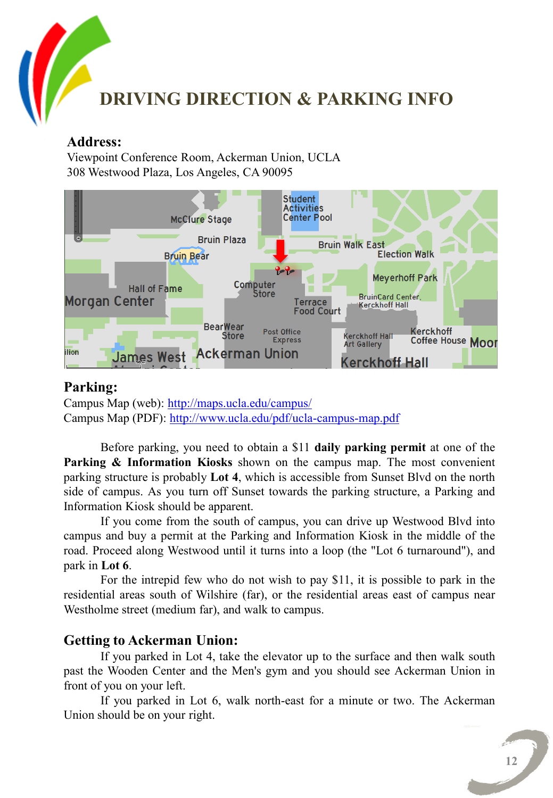

#### **Address:**

Viewpoint Conference Room, Ackerman Union, UCLA 308 Westwood Plaza, Los Angeles, CA 90095



#### **Parking:**

Campus Map (web): <http://maps.ucla.edu/campus/> Campus Map (PDF): <http://www.ucla.edu/pdf/ucla-campus-map.pdf>

Before parking, you need to obtain a \$11 **daily parking permit** at one of the **Parking & Information Kiosks** shown on the campus map. The most convenient parking structure is probably **Lot 4**, which is accessible from Sunset Blvd on the north side of campus. As you turn off Sunset towards the parking structure, a Parking and Information Kiosk should be apparent.

If you come from the south of campus, you can drive up Westwood Blvd into campus and buy a permit at the Parking and Information Kiosk in the middle of the road. Proceed along Westwood until it turns into a loop (the "Lot 6 turnaround"), and park in **Lot 6**.

For the intrepid few who do not wish to pay \$11, it is possible to park in the residential areas south of Wilshire (far), or the residential areas east of campus near Westholme street (medium far), and walk to campus.

#### **Getting to Ackerman Union:**

If you parked in Lot 4, take the elevator up to the surface and then walk south past the Wooden Center and the Men's gym and you should see Ackerman Union in front of you on your left.

If you parked in Lot 6, walk north-east for a minute or two. The Ackerman Union should be on your right.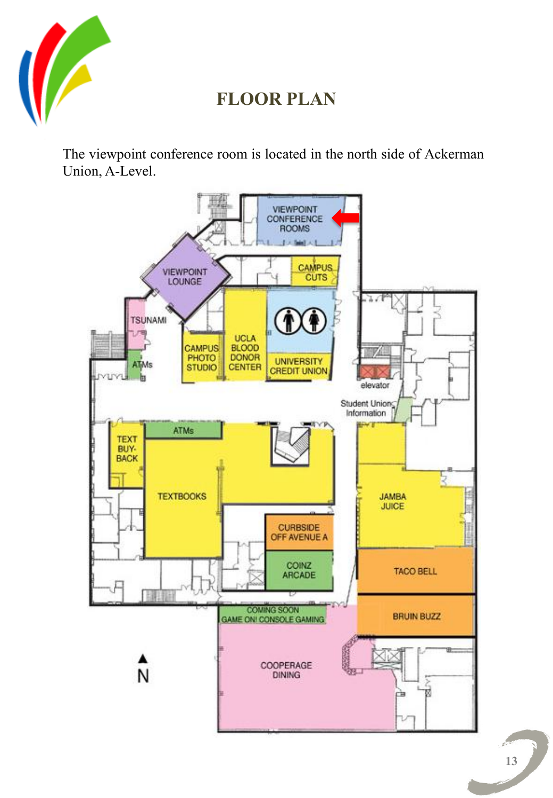

## **FLOOR PLAN**

The viewpoint conference room is located in the north side of Ackerman Union, A-Level.

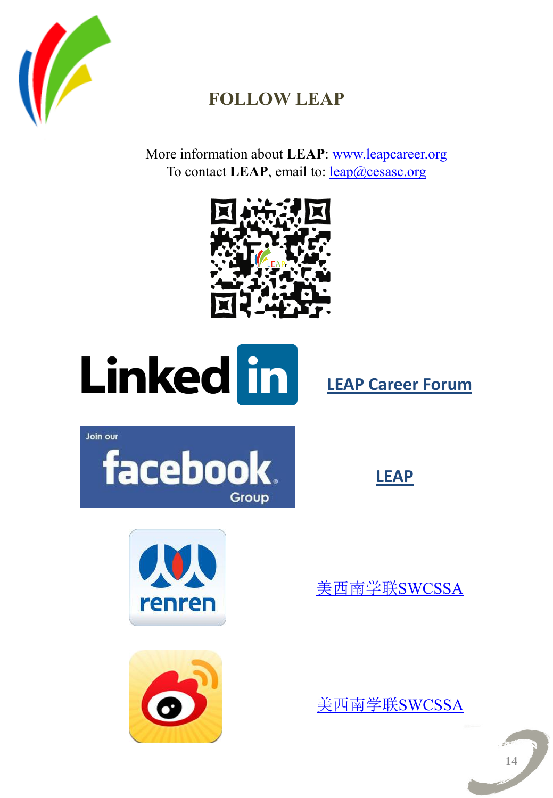

## **FOLLOW LEAP**

More information about **LEAP**: [www.leapcareer.org](http://www.leapcareer.org) To contact **LEAP**, email to: <u>leap</u>@cesasc.org





**[LEAP Career Forum](http://www.linkedin.com/groups/LEAP-Career-Forum-4834781?homeNewMember=&gid=4834781&goback=.mid_I376880201*414_*1)**

Join our



**[LEAP](http://www.facebook.com/groups/LEAPForum/)**





[美西南学联](http://page.renren.com/601505567?ref=pfh_page)[SWCSSA](http://page.renren.com/601505567?ref=pfh_page)

[美西南学联](http://www.weibo.com/u/2374813474?topnav=1&wvr=5&topsug=1)[SWCSSA](http://www.weibo.com/u/2374813474?topnav=1&wvr=5&topsug=1)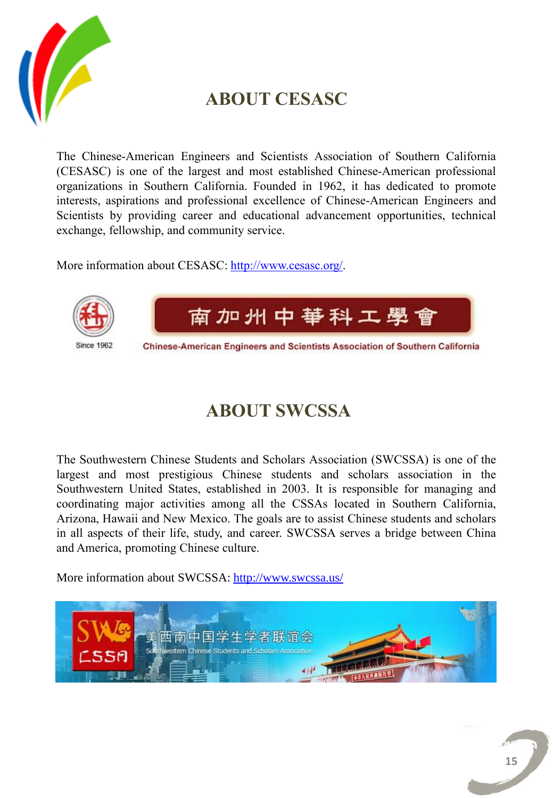

## **ABOUT CESASC**

The Chinese-American Engineers and Scientists Association of Southern California (CESASC) is one of the largest and most established Chinese-American professional organizations in Southern California. Founded in 1962, it has dedicated to promote interests, aspirations and professional excellence of Chinese-American Engineers and Scientists by providing career and educational advancement opportunities, technical exchange, fellowship, and community service.

More information about CESASC: [http://www.cesasc.org/.](http://www.cesasc.org/)



## **ABOUT SWCSSA**

The Southwestern Chinese Students and Scholars Association (SWCSSA) is one of the largest and most prestigious Chinese students and scholars association in the Southwestern United States, established in 2003. It is responsible for managing and coordinating major activities among all the CSSAs located in Southern California, Arizona, Hawaii and New Mexico. The goals are to assist Chinese students and scholars in all aspects of their life, study, and career. SWCSSA serves a bridge between China and America, promoting Chinese culture.

More information about SWCSSA:<http://www.swcssa.us/>